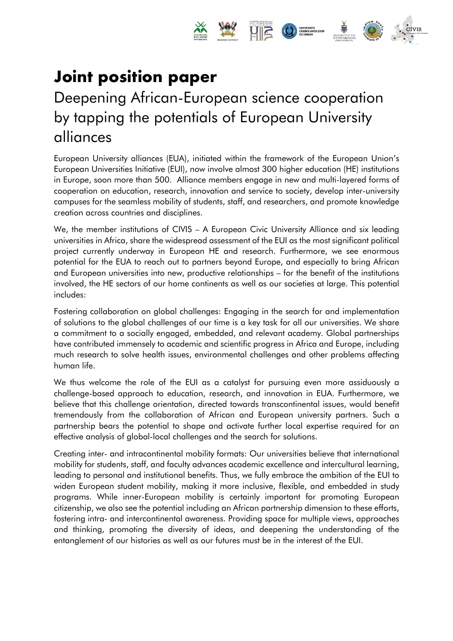

# **Joint position paper**

# Deepening African-European science cooperation by tapping the potentials of European University alliances

European University alliances (EUA), initiated within the framework of the European Union's European Universities Initiative (EUI), now involve almost 300 higher education (HE) institutions in Europe, soon more than 500. Alliance members engage in new and multi-layered forms of cooperation on education, research, innovation and service to society, develop inter-university campuses for the seamless mobility of students, staff, and researchers, and promote knowledge creation across countries and disciplines.

We, the member institutions of CIVIS – A European Civic University Alliance and six leading universities in Africa, share the widespread assessment of the EUI as the most significant political project currently underway in European HE and research. Furthermore, we see enormous potential for the EUA to reach out to partners beyond Europe, and especially to bring African and European universities into new, productive relationships – for the benefit of the institutions involved, the HE sectors of our home continents as well as our societies at large. This potential includes:

Fostering collaboration on global challenges: Engaging in the search for and implementation of solutions to the global challenges of our time is a key task for all our universities. We share a commitment to a socially engaged, embedded, and relevant academy. Global partnerships have contributed immensely to academic and scientific progress in Africa and Europe, including much research to solve health issues, environmental challenges and other problems affecting human life.

We thus welcome the role of the EUI as a catalyst for pursuing even more assiduously a challenge-based approach to education, research, and innovation in EUA. Furthermore, we believe that this challenge orientation, directed towards transcontinental issues, would benefit tremendously from the collaboration of African and European university partners. Such a partnership bears the potential to shape and activate further local expertise required for an effective analysis of global-local challenges and the search for solutions.

Creating inter- and intracontinental mobility formats: Our universities believe that international mobility for students, staff, and faculty advances academic excellence and intercultural learning, leading to personal and institutional benefits. Thus, we fully embrace the ambition of the EUI to widen European student mobility, making it more inclusive, flexible, and embedded in study programs. While inner-European mobility is certainly important for promoting European citizenship, we also see the potential including an African partnership dimension to these efforts, fostering intra- and intercontinental awareness. Providing space for multiple views, approaches and thinking, promoting the diversity of ideas, and deepening the understanding of the entanglement of our histories as well as our futures must be in the interest of the EUI.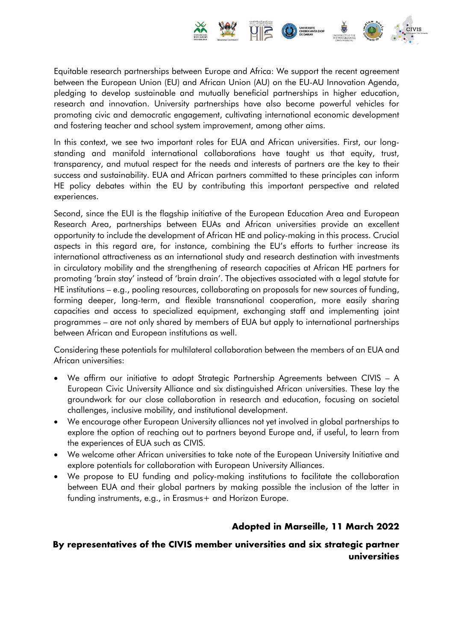

Equitable research partnerships between Europe and Africa: We support the recent agreement between the European Union (EU) and African Union (AU) on the EU-AU Innovation Agenda, pledging to develop sustainable and mutually beneficial partnerships in higher education, research and innovation. University partnerships have also become powerful vehicles for promoting civic and democratic engagement, cultivating international economic development and fostering teacher and school system improvement, among other aims.

In this context, we see two important roles for EUA and African universities. First, our longstanding and manifold international collaborations have taught us that equity, trust, transparency, and mutual respect for the needs and interests of partners are the key to their success and sustainability. EUA and African partners committed to these principles can inform HE policy debates within the EU by contributing this important perspective and related experiences.

Second, since the EUI is the flagship initiative of the European Education Area and European Research Area, partnerships between EUAs and African universities provide an excellent opportunity to include the development of African HE and policy-making in this process. Crucial aspects in this regard are, for instance, combining the EU's efforts to further increase its international attractiveness as an international study and research destination with investments in circulatory mobility and the strengthening of research capacities at African HE partners for promoting 'brain stay' instead of 'brain drain'. The objectives associated with a legal statute for HE institutions – e.g., pooling resources, collaborating on proposals for new sources of funding, forming deeper, long-term, and flexible transnational cooperation, more easily sharing capacities and access to specialized equipment, exchanging staff and implementing joint programmes – are not only shared by members of EUA but apply to international partnerships between African and European institutions as well.

Considering these potentials for multilateral collaboration between the members of an EUA and African universities:

- We affirm our initiative to adopt Strategic Partnership Agreements between CIVIS A European Civic University Alliance and six distinguished African universities. These lay the groundwork for our close collaboration in research and education, focusing on societal challenges, inclusive mobility, and institutional development.
- We encourage other European University alliances not yet involved in global partnerships to explore the option of reaching out to partners beyond Europe and, if useful, to learn from the experiences of EUA such as CIVIS.
- We welcome other African universities to take note of the European University Initiative and explore potentials for collaboration with European University Alliances.
- We propose to EU funding and policy-making institutions to facilitate the collaboration between EUA and their global partners by making possible the inclusion of the latter in funding instruments, e.g., in Erasmus+ and Horizon Europe.

## **Adopted in Marseille, 11 March 2022**

### **By representatives of the CIVIS member universities and six strategic partner universities**